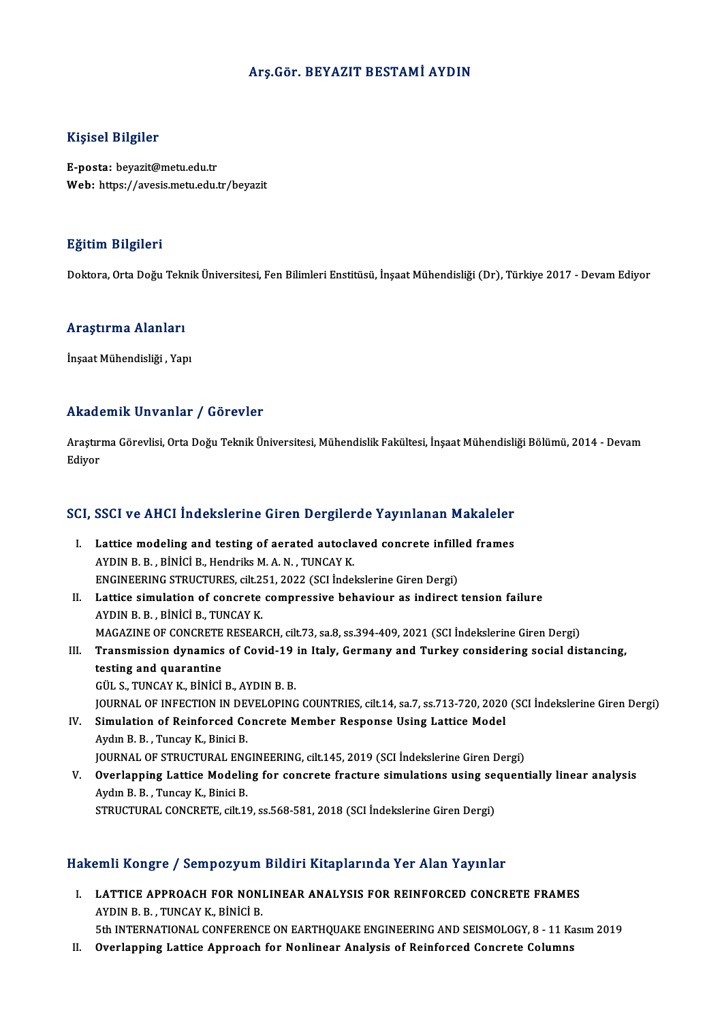# Arş.Gör. BEYAZIT BESTAMİ AYDIN

# Kişisel Bilgiler

E-posta: beyazit@metu.edu.tr Web: https://avesis.metu.edu.tr/beyazit

# Eğitim Bilgileri

Doktora, Orta Doğu Teknik Üniversitesi, Fen Bilimleri Enstitüsü, İnşaat Mühendisliği (Dr), Türkiye 2017 - Devam Ediyor

## Araştırma Alanları

İnşaat Mühendisliği, Yapı

# Akademik Unvanlar / Görevler

Akademik Unvanlar / Görevler<br>Araştırma Görevlisi, Orta Doğu Teknik Üniversitesi, Mühendislik Fakültesi, İnşaat Mühendisliği Bölümü, 2014 - Devam Arastır:<br>Araştır:<br>Ediyor

# <sub>Ediyor</sub><br>SCI, SSCI ve AHCI İndekslerine Giren Dergilerde Yayınlanan Makaleler

- CI, SSCI ve AHCI Indekslerine Giren Dergilerde Yayınlanan Makaleler<br>I. Lattice modeling and testing of aerated autoclaved concrete infilled frames<br>AVDIN P. P. Pinici B. Handrik: M.A. N. TINCAV K. Lattice modeling and testing of aerated autocla<br>AYDIN B. B., BİNİCİ B., Hendriks M. A. N., TUNCAY K.<br>ENCIMEERING STRUCTURES silt 251, 2022 (SGLİnda) Lattice modeling and testing of aerated autoclaved concrete infille<br>AYDIN B. B. , BİNİCİ B., Hendriks M. A. N. , TUNCAY K.<br>ENGINEERING STRUCTURES, cilt.251, 2022 (SCI İndekslerine Giren Dergi)<br>Lattice simulation of senerat AYDIN B. B., BİNİCİ B., Hendriks M. A. N., TUNCAY K.<br>ENGINEERING STRUCTURES, cilt.251, 2022 (SCI İndekslerine Giren Dergi)<br>II. Lattice simulation of concrete compressive behaviour as indirect tension failure<br>AYDIN B. B. Bİ
- ENGINEERING STRUCTURES, cilt.251, 2022 (SCI İndekslerine Giren Dergi)<br>Lattice simulation of concrete compressive behaviour as indirect tension failure<br>AYDIN B. B. , BİNİCİ B., TUNCAY K.<br>MAGAZINE OF CONCRETE RESEARCH, cilt. Lattice simulation of concrete compressive behaviour as indirect tension failure<br>AYDIN B. B. , BİNİCİ B., TUNCAY K.<br>MAGAZINE OF CONCRETE RESEARCH, cilt.73, sa.8, ss.394-409, 2021 (SCI İndekslerine Giren Dergi)<br>Tranamission AYDIN B. B. , BİNİCİ B., TUNCAY K.<br>MAGAZINE OF CONCRETE RESEARCH, cilt.73, sa.8, ss.394-409, 2021 (SCI İndekslerine Giren Dergi)<br>III. Transmission dynamics of Covid-19 in Italy, Germany and Turkey considering social di
- testing and quarantine<br>GÜL S., TUNCAY K., BİNİCİ B., AYDIN B. B. **Transmission dynamics of Covid-19<br>testing and quarantine<br>GÜL S., TUNCAY K., BİNİCİ B., AYDIN B. B.<br>JOUPMAL OF INFECTION IN DEVELOPINC** JOURNAL OF INFECTION IN DEVELOPING COUNTRIES, cilt.14, sa.7, ss.713-720, 2020 (SCI İndekslerine Giren Dergi) GÜL S., TUNCAY K., BINICI B., AYDIN B. B.<br>JOURNAL OF INFECTION IN DEVELOPING COUNTRIES, cilt.14, sa.7, ss.713-720, 2020<br>IV. Simulation of Reinforced Concrete Member Response Using Lattice Model
- **JOURNAL OF INFECTION IN DENANGE CONCORDING CONTROL**<br>B. B. B. J. , Tuncay K., Binici B.<br>JOUPNAL OF STRUCTURAL ENG Simulation of Reinforced Concrete Member Response Using Lattice Model<br>Aydın B. B. , Tuncay K., Binici B.<br>JOURNAL OF STRUCTURAL ENGINEERING, cilt.145, 2019 (SCI İndekslerine Giren Dergi)<br>Querlanning Lattice Modeling for con
- Aydın B. B. , Tuncay K., Binici B.<br>JOURNAL OF STRUCTURAL ENGINEERING, cilt.145, 2019 (SCI İndekslerine Giren Dergi)<br>V. Overlapping Lattice Modeling for concrete fracture simulations using sequentially linear analysis<br>Aydın **JOURNAL OF STRUCTURAL ENC<br>Overlapping Lattice Modelin<br>Aydın B. B., Tuncay K., Binici B.<br>STRUCTURAL CONCRETE cilt 16** Aydın B. B. , Tuncay K., Binici B.<br>STRUCTURAL CONCRETE, cilt.19, ss.568-581, 2018 (SCI İndekslerine Giren Dergi)

## Hakemli Kongre / Sempozyum Bildiri Kitaplarında Yer Alan Yayınlar

akemli Kongre / Sempozyum Bildiri Kitaplarında Yer Alan Yayınlar<br>I. LATTICE APPROACH FOR NONLINEAR ANALYSIS FOR REINFORCED CONCRETE FRAMES AHAT AYAL ETTICE APPROACH FOR NONI<br>AYDIN B. B. , TUNCAY K., BİNİCİ B.<br>Eth INTERNATIONAL CONEERENC AYDIN B. B. , TUNCAY K., BİNİCİ B.<br>5th INTERNATIONAL CONFERENCE ON EARTHQUAKE ENGINEERING AND SEISMOLOGY, 8 - 11 Kasım 2019

II. Overlapping Lattice Approach for Nonlinear Analysis of Reinforced Concrete Columns